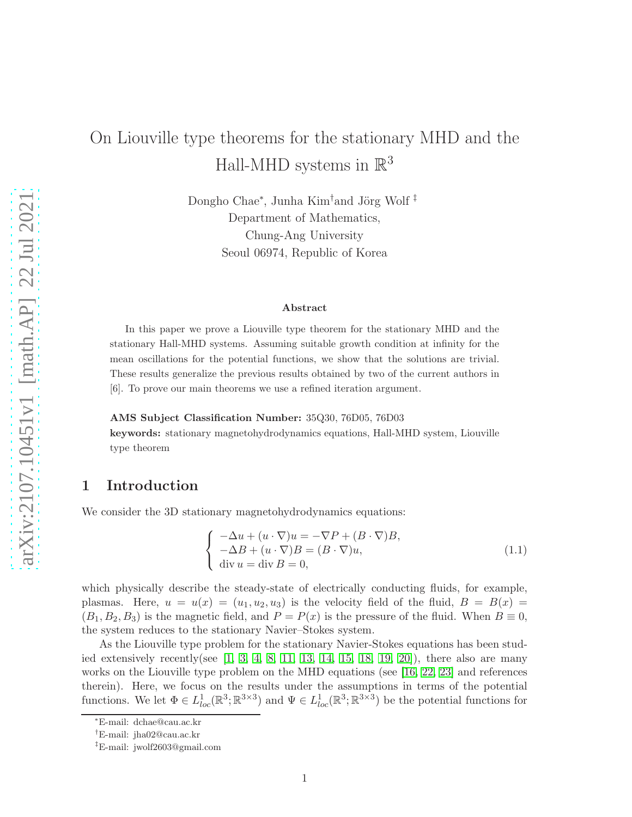# On Liouville type theorems for the stationary MHD and the Hall-MHD systems in  $\mathbb{R}^3$

Dongho Chae<sup>∗</sup>, Junha Kim<sup>†</sup>and Jörg Wolf<sup>‡</sup> Department of Mathematics, Chung-Ang University Seoul 06974, Republic of Korea

#### Abstract

In this paper we prove a Liouville type theorem for the stationary MHD and the stationary Hall-MHD systems. Assuming suitable growth condition at infinity for the mean oscillations for the potential functions, we show that the solutions are trivial. These results generalize the previous results obtained by two of the current authors in [6]. To prove our main theorems we use a refined iteration argument.

#### AMS Subject Classification Number: 35Q30, 76D05, 76D03

keywords: stationary magnetohydrodynamics equations, Hall-MHD system, Liouville type theorem

## 1 Introduction

We consider the 3D stationary magnetohydrodynamics equations:

<span id="page-0-0"></span>
$$
\begin{cases}\n-\Delta u + (u \cdot \nabla)u = -\nabla P + (B \cdot \nabla)B, \\
-\Delta B + (u \cdot \nabla)B = (B \cdot \nabla)u, \\
\text{div } u = \text{div } B = 0,\n\end{cases}
$$
\n(1.1)

which physically describe the steady-state of electrically conducting fluids, for example, plasmas. Here,  $u = u(x) = (u_1, u_2, u_3)$  is the velocity field of the fluid,  $B = B(x)$  $(B_1, B_2, B_3)$  is the magnetic field, and  $P = P(x)$  is the pressure of the fluid. When  $B \equiv 0$ , the system reduces to the stationary Navier–Stokes system.

As the Liouville type problem for the stationary Navier-Stokes equations has been studied extensively recently(see  $[1, 3, 4, 8, 11, 13, 14, 15, 18, 19, 20]$  $[1, 3, 4, 8, 11, 13, 14, 15, 18, 19, 20]$  $[1, 3, 4, 8, 11, 13, 14, 15, 18, 19, 20]$  $[1, 3, 4, 8, 11, 13, 14, 15, 18, 19, 20]$  $[1, 3, 4, 8, 11, 13, 14, 15, 18, 19, 20]$  $[1, 3, 4, 8, 11, 13, 14, 15, 18, 19, 20]$  $[1, 3, 4, 8, 11, 13, 14, 15, 18, 19, 20]$  $[1, 3, 4, 8, 11, 13, 14, 15, 18, 19, 20]$  $[1, 3, 4, 8, 11, 13, 14, 15, 18, 19, 20]$  $[1, 3, 4, 8, 11, 13, 14, 15, 18, 19, 20]$  $[1, 3, 4, 8, 11, 13, 14, 15, 18, 19, 20]$ ), there also are many works on the Liouville type problem on the MHD equations (see [\[16,](#page-13-4) [22,](#page-13-5) [23\]](#page-13-6) and references therein). Here, we focus on the results under the assumptions in terms of the potential functions. We let  $\Phi \in L^1_{loc}(\mathbb{R}^3; \mathbb{R}^{3\times 3})$  and  $\Psi \in L^1_{loc}(\mathbb{R}^3; \mathbb{R}^{3\times 3})$  be the potential functions for

<sup>∗</sup>E-mail: dchae@cau.ac.kr

<sup>†</sup>E-mail: jha02@cau.ac.kr

<sup>‡</sup>E-mail: jwolf2603@gmail.com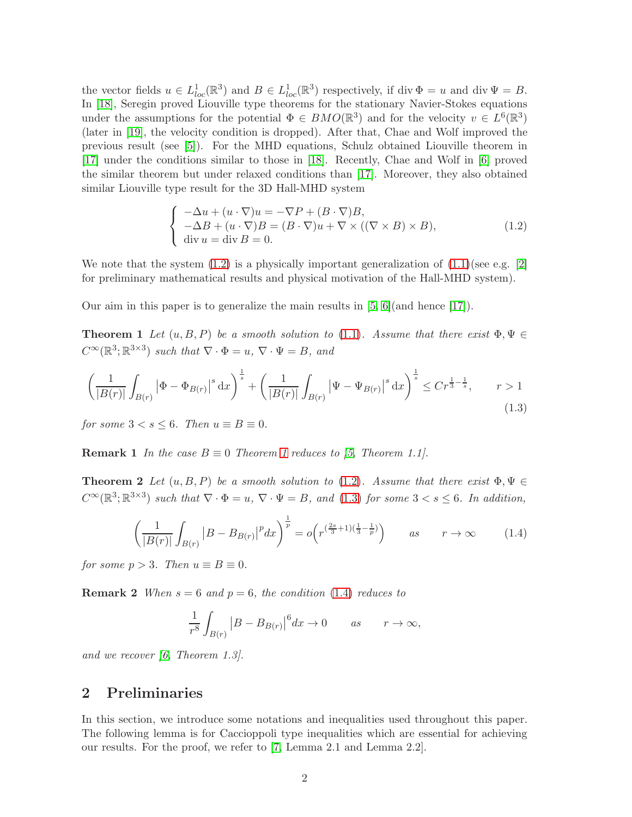the vector fields  $u \in L^1_{loc}(\mathbb{R}^3)$  and  $B \in L^1_{loc}(\mathbb{R}^3)$  respectively, if div  $\Phi = u$  and div  $\Psi = B$ . In [\[18\]](#page-13-1), Seregin proved Liouville type theorems for the stationary Navier-Stokes equations under the assumptions for the potential  $\Phi \in BMO(\mathbb{R}^3)$  and for the velocity  $v \in L^6(\mathbb{R}^3)$ (later in [\[19\]](#page-13-2), the velocity condition is dropped). After that, Chae and Wolf improved the previous result (see [\[5\]](#page-12-7)). For the MHD equations, Schulz obtained Liouville theorem in [\[17\]](#page-13-7) under the conditions similar to those in [\[18\]](#page-13-1). Recently, Chae and Wolf in [\[6\]](#page-12-8) proved the similar theorem but under relaxed conditions than [\[17\]](#page-13-7). Moreover, they also obtained similar Liouville type result for the 3D Hall-MHD system

<span id="page-1-0"></span>
$$
\begin{cases}\n-\Delta u + (u \cdot \nabla)u = -\nabla P + (B \cdot \nabla)B, \\
-\Delta B + (u \cdot \nabla)B = (B \cdot \nabla)u + \nabla \times ((\nabla \times B) \times B), \\
\text{div } u = \text{div } B = 0.\n\end{cases}
$$
\n(1.2)

We note that the system  $(1.2)$  is a physically important generalization of  $(1.1)(\text{see e.g. } [2]$  $(1.1)(\text{see e.g. } [2]$ for preliminary mathematical results and physical motivation of the Hall-MHD system).

<span id="page-1-1"></span>Our aim in this paper is to generalize the main results in  $[5, 6]$  $[5, 6]$  (and hence  $[17]$ ).

**Theorem 1** Let  $(u, B, P)$  be a smooth solution to [\(1.1\)](#page-0-0). Assume that there exist  $\Phi, \Psi \in$  $C^{\infty}(\mathbb{R}^3;\mathbb{R}^{3\times3})$  such that  $\nabla \cdot \Phi = u$ ,  $\nabla \cdot \Psi = B$ , and

<span id="page-1-2"></span>
$$
\left(\frac{1}{|B(r)|}\int_{B(r)}\left|\Phi-\Phi_{B(r)}\right|^s\mathrm{d}x\right)^{\frac{1}{s}} + \left(\frac{1}{|B(r)|}\int_{B(r)}\left|\Psi-\Psi_{B(r)}\right|^s\mathrm{d}x\right)^{\frac{1}{s}} \le Cr^{\frac{1}{3}-\frac{1}{s}}, \qquad r>1\tag{1.3}
$$

for some  $3 < s \leq 6$ . Then  $u \equiv B \equiv 0$ .

<span id="page-1-4"></span>**Remark [1](#page-1-1)** In the case  $B \equiv 0$  Theorem 1 reduces to [\[5,](#page-12-7) Theorem 1.1].

**Theorem 2** Let  $(u, B, P)$  be a smooth solution to [\(1.2\)](#page-1-0). Assume that there exist  $\Phi, \Psi \in$  $C^{\infty}(\mathbb{R}^3;\mathbb{R}^{3\times3})$  such that  $\nabla \cdot \Phi = u$ ,  $\nabla \cdot \Psi = B$ , and [\(1.3\)](#page-1-2) for some  $3 < s \leq 6$ . In addition,

<span id="page-1-3"></span>
$$
\left(\frac{1}{|B(r)|}\int_{B(r)}|B-B_{B(r)}|^pdx\right)^{\frac{1}{p}} = o\left(r^{\left(\frac{2s}{3}+1\right)\left(\frac{1}{3}-\frac{1}{p}\right)}\right) \qquad as \qquad r \to \infty \tag{1.4}
$$

for some  $p > 3$ . Then  $u \equiv B \equiv 0$ .

**Remark 2** When  $s = 6$  and  $p = 6$ , the condition [\(1.4\)](#page-1-3) reduces to

<span id="page-1-5"></span>
$$
\frac{1}{r^8} \int_{B(r)} |B - B_{B(r)}|^6 dx \to 0 \quad as \quad r \to \infty,
$$

and we recover  $[6,$  Theorem 1.3.

## 2 Preliminaries

In this section, we introduce some notations and inequalities used throughout this paper. The following lemma is for Caccioppoli type inequalities which are essential for achieving our results. For the proof, we refer to [\[7,](#page-12-10) Lemma 2.1 and Lemma 2.2].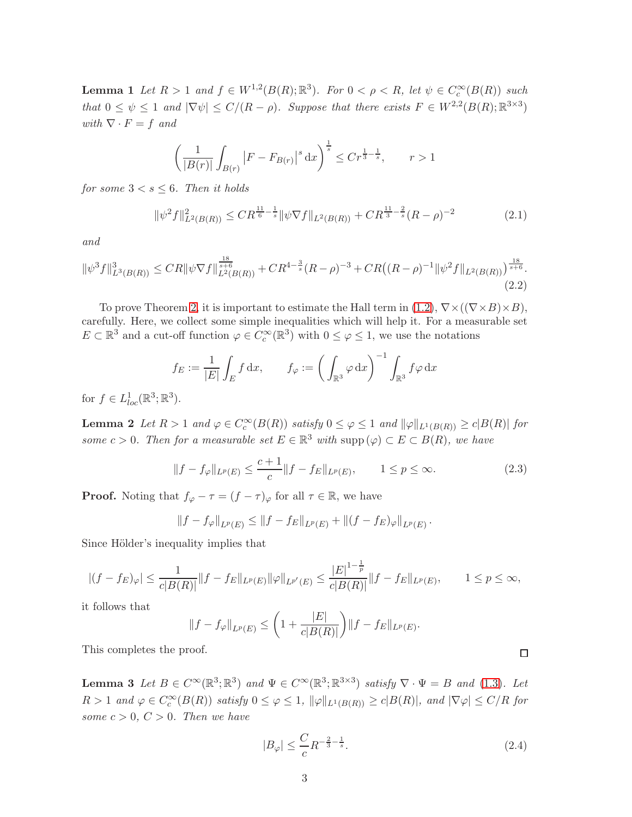**Lemma 1** Let  $R > 1$  and  $f \in W^{1,2}(B(R); \mathbb{R}^3)$ . For  $0 < \rho < R$ , let  $\psi \in C_c^{\infty}(B(R))$  such that  $0 \leq \psi \leq 1$  and  $|\nabla \psi| \leq C/(R - \rho)$ . Suppose that there exists  $F \in W^{2,2}(B(R); \mathbb{R}^{3 \times 3})$ with  $\nabla \cdot F = f$  and

$$
\left(\frac{1}{|B(r)|}\int_{B(r)}\left|F - F_{B(r)}\right|^s \mathrm{d}x\right)^{\frac{1}{s}} \le Cr^{\frac{1}{3} - \frac{1}{s}}, \qquad r > 1
$$

for some  $3 < s \leq 6$ . Then it holds

<span id="page-2-1"></span>
$$
\|\psi^2 f\|_{L^2(B(R))}^2 \le C R^{\frac{11}{6} - \frac{1}{s}} \|\psi \nabla f\|_{L^2(B(R))} + C R^{\frac{11}{3} - \frac{2}{s}} (R - \rho)^{-2}
$$
(2.1)

and

<span id="page-2-0"></span>
$$
\|\psi^3 f\|_{L^3(B(R))}^3 \le C R \|\psi \nabla f\|_{L^2(B(R))}^{\frac{18}{s+6}} + C R^{4-\frac{3}{s}} (R-\rho)^{-3} + C R \big((R-\rho)^{-1} \|\psi^2 f\|_{L^2(B(R))}\big)^{\frac{18}{s+6}}.
$$
\n(2.2)

To prove Theorem [2,](#page-1-4) it is important to estimate the Hall term in [\(1.2\)](#page-1-0),  $\nabla \times ((\nabla \times B) \times B)$ , carefully. Here, we collect some simple inequalities which will help it. For a measurable set  $E \subset \mathbb{R}^3$  and a cut-off function  $\varphi \in C_c^{\infty}(\mathbb{R}^3)$  with  $0 \leq \varphi \leq 1$ , we use the notations

$$
f_E := \frac{1}{|E|} \int_E f \, dx, \qquad f_\varphi := \left( \int_{\mathbb{R}^3} \varphi \, dx \right)^{-1} \int_{\mathbb{R}^3} f \varphi \, dx
$$

for  $f \in L^1_{loc}(\mathbb{R}^3; \mathbb{R}^3)$ .

**Lemma 2** Let  $R > 1$  and  $\varphi \in C_c^{\infty}(B(R))$  satisfy  $0 \le \varphi \le 1$  and  $\|\varphi\|_{L^1(B(R))} \ge c|B(R)|$  for some  $c > 0$ . Then for a measurable set  $E \in \mathbb{R}^3$  with supp  $(\varphi) \subset E \subset B(R)$ , we have

<span id="page-2-2"></span>
$$
||f - f_{\varphi}||_{L^{p}(E)} \le \frac{c+1}{c} ||f - f_{E}||_{L^{p}(E)}, \qquad 1 \le p \le \infty.
$$
 (2.3)

**Proof.** Noting that  $f_{\varphi} - \tau = (f - \tau)_{\varphi}$  for all  $\tau \in \mathbb{R}$ , we have

$$
||f - f_{\varphi}||_{L^{p}(E)} \le ||f - f_{E}||_{L^{p}(E)} + ||(f - f_{E})_{\varphi}||_{L^{p}(E)}.
$$

Since Hölder's inequality implies that

$$
|(f - f_E)_{\varphi}| \le \frac{1}{c|B(R)|} \|f - f_E\|_{L^p(E)} \|\varphi\|_{L^{p'}(E)} \le \frac{|E|^{1 - \frac{1}{p}}}{c|B(R)|} \|f - f_E\|_{L^p(E)}, \qquad 1 \le p \le \infty,
$$

it follows that

$$
||f - f_{\varphi}||_{L^{p}(E)} \leq \left(1 + \frac{|E|}{c|B(R)|}\right) ||f - f_{E}||_{L^{p}(E)}.
$$

This completes the proof.

**Lemma 3** Let  $B \in C^{\infty}(\mathbb{R}^3; \mathbb{R}^3)$  and  $\Psi \in C^{\infty}(\mathbb{R}^3; \mathbb{R}^{3 \times 3})$  satisfy  $\nabla \cdot \Psi = B$  and [\(1.3\)](#page-1-2). Let  $R > 1$  and  $\varphi \in C_c^{\infty}(B(R))$  satisfy  $0 \leq \varphi \leq 1$ ,  $\|\varphi\|_{L^1(B(R))} \geq c|B(R)|$ , and  $|\nabla \varphi| \leq C/R$  for some  $c > 0$ ,  $C > 0$ . Then we have

<span id="page-2-3"></span>
$$
|B_{\varphi}| \le \frac{C}{c} R^{-\frac{2}{3} - \frac{1}{s}}.
$$
\n(2.4)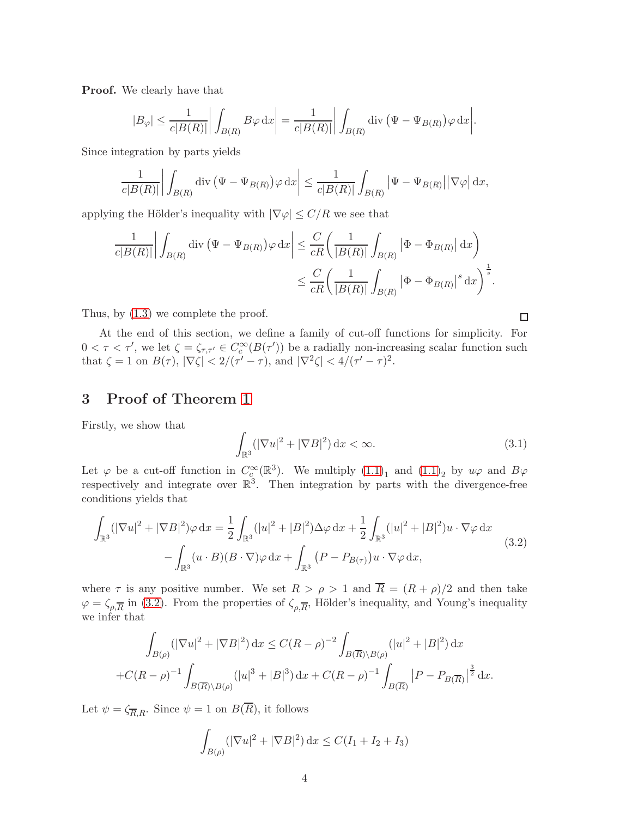Proof. We clearly have that

$$
|B_{\varphi}| \le \frac{1}{c|B(R)|} \left| \int_{B(R)} B\varphi \,dx \right| = \frac{1}{c|B(R)|} \left| \int_{B(R)} \operatorname{div} \left( \Psi - \Psi_{B(R)} \right) \varphi \,dx \right|.
$$

Since integration by parts yields

$$
\frac{1}{c|B(R)|} \left| \int_{B(R)} \operatorname{div} \left( \Psi - \Psi_{B(R)} \right) \varphi \, dx \right| \le \frac{1}{c|B(R)|} \int_{B(R)} \left| \Psi - \Psi_{B(R)} \right| \left| \nabla \varphi \right| dx,
$$

applying the Hölder's inequality with  $|\nabla \varphi| \leq C/R$  we see that

$$
\frac{1}{c|B(R)|} \left| \int_{B(R)} \operatorname{div} \left( \Psi - \Psi_{B(R)} \right) \varphi \, dx \right| \leq \frac{C}{cR} \left( \frac{1}{|B(R)|} \int_{B(R)} \left| \Phi - \Phi_{B(R)} \right| dx \right)
$$
  

$$
\leq \frac{C}{cR} \left( \frac{1}{|B(R)|} \int_{B(R)} \left| \Phi - \Phi_{B(R)} \right|^{s} dx \right)^{\frac{1}{s}}.
$$

Thus, by [\(1.3\)](#page-1-2) we complete the proof.

At the end of this section, we define a family of cut-off functions for simplicity. For  $0 < \tau < \tau'$ , we let  $\zeta = \zeta_{\tau,\tau'} \in C_c^{\infty}(B(\tau'))$  be a radially non-increasing scalar function such that  $\zeta = 1$  on  $B(\tau)$ ,  $|\nabla \zeta| < 2/(\tau' - \tau)$ , and  $|\nabla^2 \zeta| < 4/(\tau' - \tau)^2$ .

## 3 Proof of Theorem [1](#page-1-1)

Firstly, we show that

<span id="page-3-1"></span>
$$
\int_{\mathbb{R}^3} (|\nabla u|^2 + |\nabla B|^2) \, \mathrm{d}x < \infty. \tag{3.1}
$$

Let  $\varphi$  be a cut-off function in  $C_c^{\infty}(\mathbb{R}^3)$ . We multiply  $(1.1)_1$  and  $(1.1)_2$  by  $u\varphi$  and  $B\varphi$ respectively and integrate over  $\mathbb{R}^3$ . Then integration by parts with the divergence-free conditions yields that

<span id="page-3-0"></span>
$$
\int_{\mathbb{R}^3} (|\nabla u|^2 + |\nabla B|^2) \varphi \, dx = \frac{1}{2} \int_{\mathbb{R}^3} (|u|^2 + |B|^2) \Delta \varphi \, dx + \frac{1}{2} \int_{\mathbb{R}^3} (|u|^2 + |B|^2) u \cdot \nabla \varphi \, dx
$$
\n
$$
- \int_{\mathbb{R}^3} (u \cdot B)(B \cdot \nabla) \varphi \, dx + \int_{\mathbb{R}^3} (P - P_{B(\tau)}) u \cdot \nabla \varphi \, dx,\tag{3.2}
$$

where  $\tau$  is any positive number. We set  $R > \rho > 1$  and  $\overline{R} = (R + \rho)/2$  and then take  $\varphi = \zeta_{\rho,\overline{R}}$  in [\(3.2\)](#page-3-0). From the properties of  $\zeta_{\rho,\overline{R}}$ , Hölder's inequality, and Young's inequality we infer that

$$
\int_{B(\rho)} (|\nabla u|^2 + |\nabla B|^2) dx \le C(R - \rho)^{-2} \int_{B(\overline{R}) \backslash B(\rho)} (|u|^2 + |B|^2) dx
$$
  
+ $C(R - \rho)^{-1} \int_{B(\overline{R}) \backslash B(\rho)} (|u|^3 + |B|^3) dx + C(R - \rho)^{-1} \int_{B(\overline{R})} |P - P_{B(\overline{R})}|^{\frac{3}{2}} dx.$ 

Let  $\psi = \zeta_{\overline{R},R}$ . Since  $\psi = 1$  on  $B(\overline{R})$ , it follows

$$
\int_{B(\rho)} (|\nabla u|^2 + |\nabla B|^2) \, \mathrm{d}x \le C(I_1 + I_2 + I_3)
$$

 $\Box$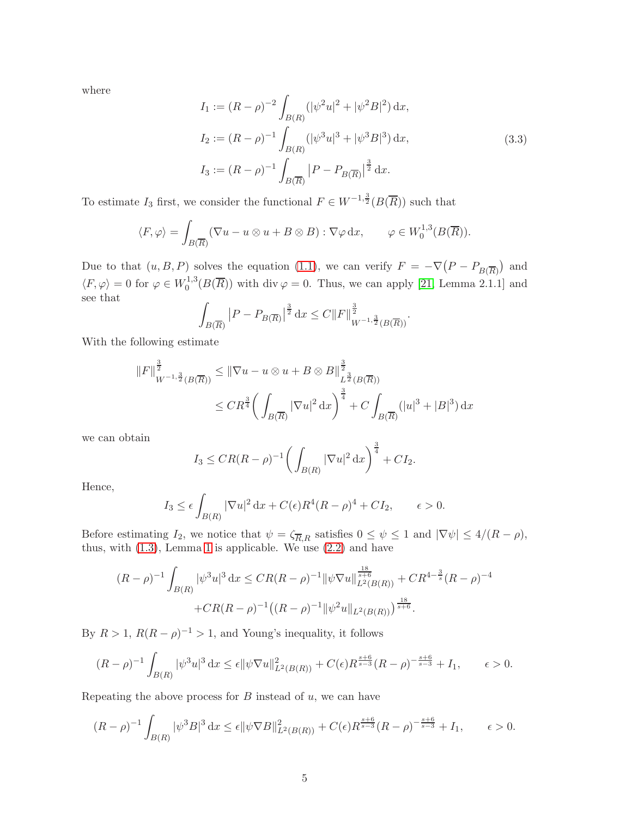where

$$
I_1 := (R - \rho)^{-2} \int_{B(R)} (|\psi^2 u|^2 + |\psi^2 B|^2) dx,
$$
  
\n
$$
I_2 := (R - \rho)^{-1} \int_{B(R)} (|\psi^3 u|^3 + |\psi^3 B|^3) dx,
$$
  
\n
$$
I_3 := (R - \rho)^{-1} \int_{B(\overline{R})} |P - P_{B(\overline{R})}|^{\frac{3}{2}} dx.
$$
\n(3.3)

To estimate  $I_3$  first, we consider the functional  $F \in W^{-1, \frac{3}{2}}(B(\overline{R}))$  such that

$$
\langle F, \varphi \rangle = \int_{B(\overline{R})} (\nabla u - u \otimes u + B \otimes B) : \nabla \varphi \, dx, \qquad \varphi \in W_0^{1,3}(B(\overline{R})).
$$

Due to that  $(u, B, P)$  solves the equation [\(1.1\)](#page-0-0), we can verify  $F = -\nabla (P - P_{B(\overline{R})})$  and  $\langle F, \varphi \rangle = 0$  for  $\varphi \in W_0^{1,3}$  $_{0}^{1,3}(B(R))$  with div  $\varphi = 0$ . Thus, we can apply [\[21,](#page-13-8) Lemma 2.1.1] and see that

$$
\int_{B(\overline{R})} |P - P_{B(\overline{R})}|^{\frac{3}{2}} dx \le C ||F||_{W^{-1,\frac{3}{2}}(B(\overline{R}))}^{\frac{3}{2}}.
$$

With the following estimate

$$
||F||_{W^{-1,\frac{3}{2}}(B(\overline{R}))}^{\frac{3}{2}} \le ||\nabla u - u \otimes u + B \otimes B||_{L^{\frac{3}{2}}(B(\overline{R}))}^{\frac{3}{2}}
$$
  
 
$$
\le C R^{\frac{3}{4}} \bigg( \int_{B(\overline{R})} |\nabla u|^2 dx \bigg)^{\frac{3}{4}} + C \int_{B(\overline{R})} (|u|^3 + |B|^3) dx
$$

we can obtain

$$
I_3 \leq CR(R-\rho)^{-1} \bigg( \int_{B(R)} |\nabla u|^2 dx \bigg)^{\frac{3}{4}} + CI_2.
$$

Hence,

$$
I_3 \le \epsilon \int_{B(R)} |\nabla u|^2 \, \mathrm{d}x + C(\epsilon) R^4 (R - \rho)^4 + C I_2, \qquad \epsilon > 0.
$$

Before estimating  $I_2$ , we notice that  $\psi = \zeta_{\overline{R},R}$  satisfies  $0 \leq \psi \leq 1$  and  $|\nabla \psi| \leq 4/(R - \rho)$ , thus, with  $(1.3)$ , Lemma [1](#page-1-5) is applicable. We use  $(2.2)$  and have

$$
(R - \rho)^{-1} \int_{B(R)} |\psi^3 u|^3 dx \leq C R (R - \rho)^{-1} ||\psi \nabla u||_{L^2(B(R))}^{\frac{18}{3+6}} + C R^{4 - \frac{3}{s}} (R - \rho)^{-4}
$$

$$
+ C R (R - \rho)^{-1} ((R - \rho)^{-1} ||\psi^2 u||_{L^2(B(R))})^{\frac{18}{s+6}}.
$$

By  $R > 1$ ,  $R(R - \rho)^{-1} > 1$ , and Young's inequality, it follows

$$
(R - \rho)^{-1} \int_{B(R)} |\psi^3 u|^3 dx \le \epsilon \|\psi \nabla u\|_{L^2(B(R))}^2 + C(\epsilon) R^{\frac{s+6}{s-3}} (R - \rho)^{-\frac{s+6}{s-3}} + I_1, \qquad \epsilon > 0.
$$

Repeating the above process for  $B$  instead of  $u$ , we can have

$$
(R - \rho)^{-1} \int_{B(R)} |\psi^3 B|^3 dx \le \epsilon \|\psi \nabla B\|_{L^2(B(R))}^2 + C(\epsilon) R^{\frac{s+6}{s-3}} (R - \rho)^{-\frac{s+6}{s-3}} + I_1, \qquad \epsilon > 0.
$$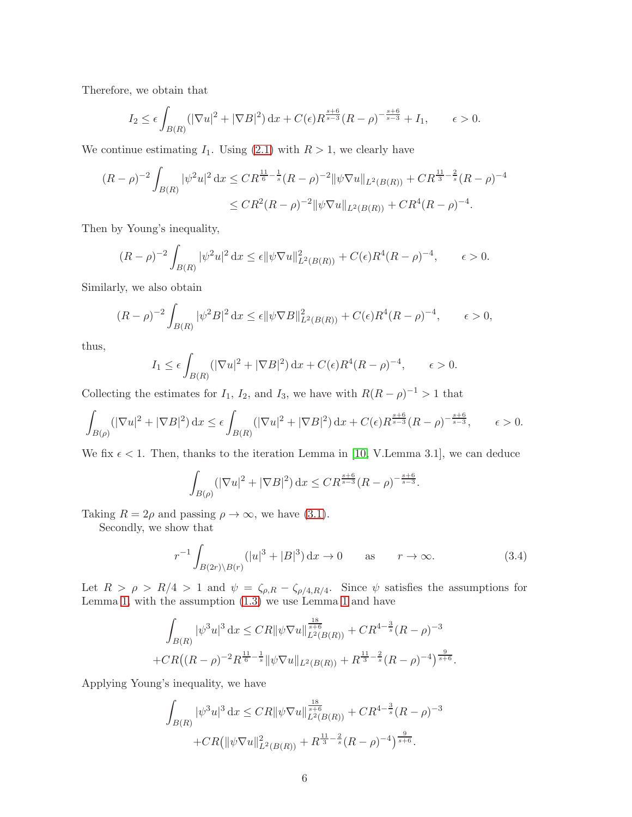Therefore, we obtain that

$$
I_2 \le \epsilon \int_{B(R)} (|\nabla u|^2 + |\nabla B|^2) \, \mathrm{d}x + C(\epsilon) R^{\frac{s+6}{s-3}} (R - \rho)^{-\frac{s+6}{s-3}} + I_1, \qquad \epsilon > 0.
$$

We continue estimating  $I_1$ . Using [\(2.1\)](#page-2-1) with  $R > 1$ , we clearly have

$$
(R - \rho)^{-2} \int_{B(R)} |\psi^2 u|^2 dx \le C R^{\frac{11}{6} - \frac{1}{s}} (R - \rho)^{-2} ||\psi \nabla u||_{L^2(B(R))} + C R^{\frac{11}{3} - \frac{2}{s}} (R - \rho)^{-4}
$$
  

$$
\le C R^2 (R - \rho)^{-2} ||\psi \nabla u||_{L^2(B(R))} + C R^4 (R - \rho)^{-4}.
$$

Then by Young's inequality,

$$
(R - \rho)^{-2} \int_{B(R)} |\psi^2 u|^2 dx \le \epsilon ||\psi \nabla u||^2_{L^2(B(R))} + C(\epsilon) R^4 (R - \rho)^{-4}, \qquad \epsilon > 0.
$$

Similarly, we also obtain

$$
(R - \rho)^{-2} \int_{B(R)} |\psi^2 B|^2 dx \le \epsilon ||\psi \nabla B||_{L^2(B(R))}^2 + C(\epsilon)R^4(R - \rho)^{-4}, \qquad \epsilon > 0,
$$

thus,

$$
I_1 \le \epsilon \int_{B(R)} (|\nabla u|^2 + |\nabla B|^2) \, \mathrm{d}x + C(\epsilon) R^4 (R - \rho)^{-4}, \qquad \epsilon > 0.
$$

Collecting the estimates for  $I_1$ ,  $I_2$ , and  $I_3$ , we have with  $R(R - \rho)^{-1} > 1$  that

$$
\int_{B(\rho)} (|\nabla u|^2 + |\nabla B|^2) \, dx \le \epsilon \int_{B(R)} (|\nabla u|^2 + |\nabla B|^2) \, dx + C(\epsilon) R^{\frac{s+6}{s-3}} (R - \rho)^{-\frac{s+6}{s-3}}, \qquad \epsilon > 0.
$$

We fix  $\epsilon$  < 1. Then, thanks to the iteration Lemma in [\[10,](#page-12-11) V.Lemma 3.1], we can deduce

$$
\int_{B(\rho)} (|\nabla u|^2 + |\nabla B|^2) \, \mathrm{d}x \le C R^{\frac{s+6}{s-3}} (R - \rho)^{-\frac{s+6}{s-3}}.
$$

Taking  $R = 2\rho$  and passing  $\rho \to \infty$ , we have [\(3.1\)](#page-3-1).

Secondly, we show that

<span id="page-5-0"></span>
$$
r^{-1} \int_{B(2r)\backslash B(r)} (|u|^3 + |B|^3) \, \mathrm{d}x \to 0 \qquad \text{as} \qquad r \to \infty. \tag{3.4}
$$

Let  $R > \rho > R/4 > 1$  and  $\psi = \zeta_{\rho,R} - \zeta_{\rho/4,R/4}$ . Since  $\psi$  satisfies the assumptions for Lemma [1,](#page-1-5) with the assumption [\(1.3\)](#page-1-2) we use Lemma [1](#page-1-5) and have

$$
\int_{B(R)} |\psi^3 u|^3 \, dx \leq C R ||\psi \nabla u||_{L^2(B(R))}^{\frac{18}{s+6}} + C R^{4-\frac{3}{s}} (R - \rho)^{-3}
$$
  
+ 
$$
C R \big( (R - \rho)^{-2} R^{\frac{11}{6} - \frac{1}{s}} ||\psi \nabla u||_{L^2(B(R))} + R^{\frac{11}{3} - \frac{2}{s}} (R - \rho)^{-4} \big)^{\frac{9}{s+6}}.
$$

Applying Young's inequality, we have

$$
\int_{B(R)} |\psi^3 u|^3 dx \leq C R ||\psi \nabla u||_{L^2(B(R))}^{\frac{18}{s+6}} + C R^{4-\frac{3}{s}} (R - \rho)^{-3}
$$

$$
+ C R (||\psi \nabla u||_{L^2(B(R))}^2 + R^{\frac{11}{3}-\frac{2}{s}} (R - \rho)^{-4})^{\frac{9}{s+6}}.
$$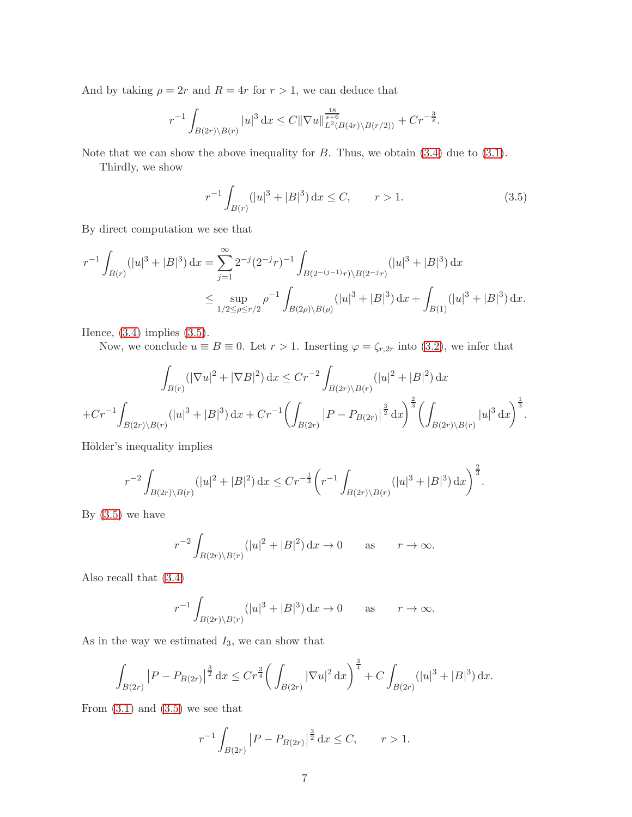And by taking  $\rho = 2r$  and  $R = 4r$  for  $r > 1$ , we can deduce that

$$
r^{-1} \int_{B(2r)\backslash B(r)} |u|^3 dx \leq C \|\nabla u\|_{L^2(B(4r)\backslash B(r/2))}^{\frac{18}{s+6}} + Cr^{-\frac{3}{s}}.
$$

Note that we can show the above inequality for  $B$ . Thus, we obtain  $(3.4)$  due to  $(3.1)$ .

Thirdly, we show

<span id="page-6-0"></span>
$$
r^{-1} \int_{B(r)} (|u|^3 + |B|^3) \, \mathrm{d}x \le C, \qquad r > 1. \tag{3.5}
$$

By direct computation we see that

$$
r^{-1} \int_{B(r)} (|u|^3 + |B|^3) dx = \sum_{j=1}^{\infty} 2^{-j} (2^{-j}r)^{-1} \int_{B(2^{-(j-1)}r) \backslash B(2^{-j}r)} (|u|^3 + |B|^3) dx
$$
  

$$
\leq \sup_{1/2 \leq \rho \leq r/2} \rho^{-1} \int_{B(2\rho) \backslash B(\rho)} (|u|^3 + |B|^3) dx + \int_{B(1)} (|u|^3 + |B|^3) dx.
$$

Hence,  $(3.4)$  implies  $(3.5)$ .

Now, we conclude  $u \equiv B \equiv 0$ . Let  $r > 1$ . Inserting  $\varphi = \zeta_{r,2r}$  into [\(3.2\)](#page-3-0), we infer that

$$
\int_{B(r)} (|\nabla u|^2 + |\nabla B|^2) \, dx \le Cr^{-2} \int_{B(2r)\backslash B(r)} (|u|^2 + |B|^2) \, dx
$$
  
+  $Cr^{-1} \int_{B(2r)\backslash B(r)} (|u|^3 + |B|^3) \, dx + Cr^{-1} \left( \int_{B(2r)} |P - P_{B(2r)}|^{\frac{3}{2}} \, dx \right)^{\frac{2}{3}} \left( \int_{B(2r)\backslash B(r)} |u|^3 \, dx \right)^{\frac{1}{3}}.$ 

Hölder's inequality implies

$$
r^{-2} \int_{B(2r)\backslash B(r)} (|u|^2 + |B|^2) \, \mathrm{d}x \le Cr^{-\frac{1}{3}} \bigg( r^{-1} \int_{B(2r)\backslash B(r)} (|u|^3 + |B|^3) \, \mathrm{d}x \bigg)^{\frac{2}{3}}.
$$

By  $(3.5)$  we have

$$
r^{-2} \int_{B(2r)\backslash B(r)} (|u|^2 + |B|^2) \, \mathrm{d}x \to 0 \qquad \text{as} \qquad r \to \infty.
$$

Also recall that [\(3.4\)](#page-5-0)

$$
r^{-1} \int_{B(2r)\backslash B(r)} (|u|^3 + |B|^3) \, \mathrm{d}x \to 0 \qquad \text{as} \qquad r \to \infty.
$$

As in the way we estimated  $I_3$ , we can show that

$$
\int_{B(2r)} |P - P_{B(2r)}|^{\frac{3}{2}} dx \le Cr^{\frac{3}{4}} \bigg( \int_{B(2r)} |\nabla u|^2 dx \bigg)^{\frac{3}{4}} + C \int_{B(2r)} (|u|^3 + |B|^3) dx.
$$

From  $(3.1)$  and  $(3.5)$  we see that

$$
r^{-1} \int_{B(2r)} |P - P_{B(2r)}|^{\frac{3}{2}} dx \le C, \qquad r > 1.
$$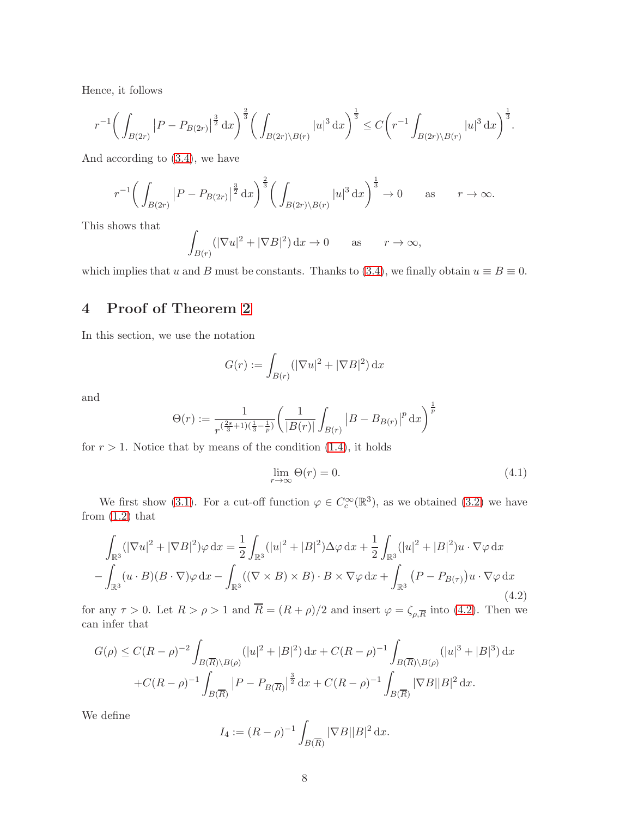Hence, it follows

$$
r^{-1}\bigg(\int_{B(2r)}\big|P-P_{B(2r)}\big|^{\frac{3}{2}}\,\mathrm{d}x\bigg)^{\frac{2}{3}}\bigg(\int_{B(2r)\setminus B(r)}|u|^{3}\,\mathrm{d}x\bigg)^{\frac{1}{3}}\leq C\bigg(r^{-1}\int_{B(2r)\setminus B(r)}|u|^{3}\,\mathrm{d}x\bigg)^{\frac{1}{3}}.
$$

And according to [\(3.4\)](#page-5-0), we have

$$
r^{-1}\bigg(\int_{B(2r)}\big|P-P_{B(2r)}\big|^{\frac{3}{2}}\,\mathrm{d}x\bigg)^{\frac{2}{3}}\bigg(\int_{B(2r)\setminus B(r)}|u|^{3}\,\mathrm{d}x\bigg)^{\frac{1}{3}}\to 0\qquad\text{as}\qquad r\to\infty.
$$

This shows that

$$
\int_{B(r)} (|\nabla u|^2 + |\nabla B|^2) \, \mathrm{d}x \to 0 \qquad \text{as} \qquad r \to \infty,
$$

which implies that u and B must be constants. Thanks to [\(3.4\)](#page-5-0), we finally obtain  $u \equiv B \equiv 0$ .

# 4 Proof of Theorem [2](#page-1-4)

In this section, we use the notation

$$
G(r) := \int_{B(r)} (|\nabla u|^2 + |\nabla B|^2) \, \mathrm{d}x
$$

and

$$
\Theta(r) := \frac{1}{r^{\left(\frac{2s}{3}+1\right)\left(\frac{1}{3}-\frac{1}{p}\right)}} \left(\frac{1}{|B(r)|} \int_{B(r)} |B - B_{B(r)}|^p \, \mathrm{d}x\right)^{\frac{1}{p}}
$$

for  $r > 1$ . Notice that by means of the condition  $(1.4)$ , it holds

<span id="page-7-1"></span>
$$
\lim_{r \to \infty} \Theta(r) = 0. \tag{4.1}
$$

We first show [\(3.1\)](#page-3-1). For a cut-off function  $\varphi \in C_c^{\infty}(\mathbb{R}^3)$ , as we obtained [\(3.2\)](#page-3-0) we have from  $(1.2)$  that

<span id="page-7-0"></span>
$$
\int_{\mathbb{R}^3} (|\nabla u|^2 + |\nabla B|^2) \varphi \, dx = \frac{1}{2} \int_{\mathbb{R}^3} (|u|^2 + |B|^2) \Delta \varphi \, dx + \frac{1}{2} \int_{\mathbb{R}^3} (|u|^2 + |B|^2) u \cdot \nabla \varphi \, dx
$$
\n
$$
- \int_{\mathbb{R}^3} (u \cdot B)(B \cdot \nabla) \varphi \, dx - \int_{\mathbb{R}^3} ((\nabla \times B) \times B) \cdot B \times \nabla \varphi \, dx + \int_{\mathbb{R}^3} (P - P_{B(\tau)}) u \cdot \nabla \varphi \, dx \tag{4.2}
$$

for any  $\tau > 0$ . Let  $R > \rho > 1$  and  $R = (R + \rho)/2$  and insert  $\varphi = \zeta_{\rho,\overline{R}}$  into [\(4.2\)](#page-7-0). Then we can infer that

$$
G(\rho) \le C(R - \rho)^{-2} \int_{B(\overline{R}) \backslash B(\rho)} (|u|^2 + |B|^2) dx + C(R - \rho)^{-1} \int_{B(\overline{R}) \backslash B(\rho)} (|u|^3 + |B|^3) dx
$$
  
+  $C(R - \rho)^{-1} \int_{B(\overline{R})} |P - P_{B(\overline{R})}|^{\frac{3}{2}} dx + C(R - \rho)^{-1} \int_{B(\overline{R})} |\nabla B||B|^2 dx.$ 

We define

$$
I_4 := (R - \rho)^{-1} \int_{B(\overline{R})} |\nabla B| |B|^2 \, \mathrm{d}x.
$$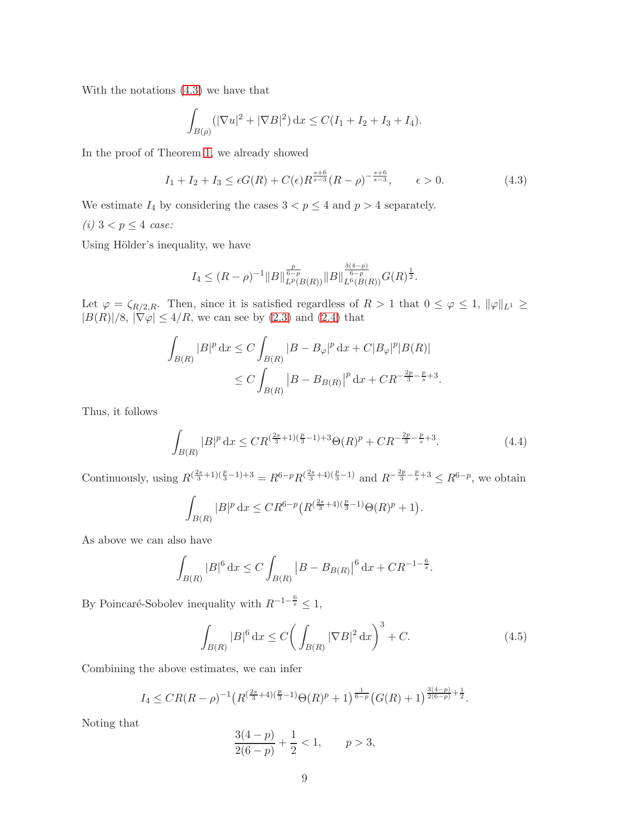With the notations [\(4.3\)](#page-8-0) we have that

$$
\int_{B(\rho)} (|\nabla u|^2 + |\nabla B|^2) \, \mathrm{d}x \le C(I_1 + I_2 + I_3 + I_4).
$$

In the proof of Theorem [1,](#page-1-1) we already showed

<span id="page-8-0"></span>
$$
I_1 + I_2 + I_3 \le \epsilon G(R) + C(\epsilon) R^{\frac{s+6}{s-3}}(R - \rho)^{-\frac{s+6}{s-3}}, \qquad \epsilon > 0.
$$
 (4.3)

We estimate  $I_4$  by considering the cases  $3 < p \leq 4$  and  $p > 4$  separately.

(i) 
$$
3 < p \leq 4
$$
 case:

Using Hölder's inequality, we have

$$
I_4 \leq (R-\rho)^{-1} \|B\|_{L^p(B(R))}^{\frac{p}{6-p}} \|B\|_{L^6(B(R))}^{\frac{3(4-p)}{6-p}} G(R)^{\frac{1}{2}}.
$$

Let  $\varphi = \zeta_{R/2,R}$ . Then, since it is satisfied regardless of  $R > 1$  that  $0 \leq \varphi \leq 1$ ,  $\|\varphi\|_{L^1} \geq$  $|B(R)|/8$ ,  $|\nabla \varphi| \leq 4/R$ , we can see by [\(2.3\)](#page-2-2) and [\(2.4\)](#page-2-3) that

$$
\int_{B(R)} |B|^p \, dx \le C \int_{B(R)} |B - B_{\varphi}|^p \, dx + C|B_{\varphi}|^p |B(R)|
$$
  

$$
\le C \int_{B(R)} |B - B_{B(R)}|^p \, dx + C R^{-\frac{2p}{3} - \frac{p}{s} + 3}.
$$

Thus, it follows

<span id="page-8-1"></span>
$$
\int_{B(R)} |B|^p \, dx \le C R^{\left(\frac{2s}{3} + 1\right)\left(\frac{p}{3} - 1\right) + 3} \Theta(R)^p + C R^{-\frac{2p}{3} - \frac{p}{s} + 3}.\tag{4.4}
$$

Continuously, using  $R^{(\frac{2s}{3}+1)(\frac{p}{3}-1)+3} = R^{6-p}R^{(\frac{2s}{3}+4)(\frac{p}{3}-1)}$  and  $R^{-\frac{2p}{3}-\frac{p}{s}+3} \leq R^{6-p}$ , we obtain

$$
\int_{B(R)} |B|^p \, \mathrm{d}x \leq CR^{6-p} \big( R^{\left(\frac{2s}{3}+4\right)\left(\frac{p}{3}-1\right)} \Theta(R)^p + 1 \big).
$$

As above we can also have

$$
\int_{B(R)} |B|^6 \, \mathrm{d}x \le C \int_{B(R)} \left| B - B_{B(R)} \right|^6 \, \mathrm{d}x + C R^{-1 - \frac{6}{s}}.
$$

By Poincaré-Sobolev inequality with  $R^{-1-\frac{6}{s}} \leq 1$ ,

<span id="page-8-2"></span>
$$
\int_{B(R)} |B|^6 \, dx \le C \bigg( \int_{B(R)} |\nabla B|^2 \, dx \bigg)^3 + C. \tag{4.5}
$$

Combining the above estimates, we can infer

$$
I_4 \leq CR(R-\rho)^{-1} \left( R^{\left(\frac{2s}{3}+4\right)\left(\frac{p}{3}-1\right)} \Theta(R)^p + 1 \right)^{\frac{1}{6-p}} \left( G(R)+1 \right)^{\frac{3(4-p)}{2(6-p)}+\frac{1}{2}}.
$$

Noting that

$$
\frac{3(4-p)}{2(6-p)} + \frac{1}{2} < 1, \qquad p > 3,
$$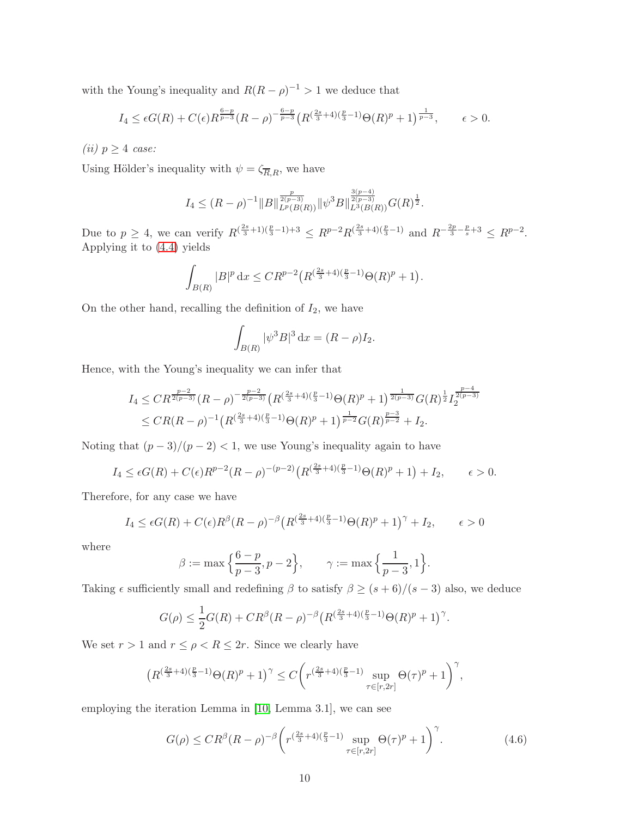with the Young's inequality and  $R(R - \rho)^{-1} > 1$  we deduce that

$$
I_4 \leq \epsilon G(R) + C(\epsilon) R^{\frac{6-p}{p-3}}(R-\rho)^{-\frac{6-p}{p-3}} \left( R^{(\frac{2s}{3}+4)(\frac{p}{3}-1)} \Theta(R)^p + 1 \right)^{\frac{1}{p-3}}, \qquad \epsilon > 0.
$$

(*ii*)  $p \geq 4$  case:

Using Hölder's inequality with  $\psi = \zeta_{\overline{R},R}$ , we have

$$
I_4 \leq (R-\rho)^{-1} \|B\|_{L^p(B(R))}^{\frac{p}{2(p-3)}} \|\psi^3 B\|_{L^3(B(R))}^{\frac{3(p-4)}{2(p-3)}} G(R)^{\frac{1}{2}}.
$$

Due to  $p \geq 4$ , we can verify  $R^{(\frac{2s}{3}+1)(\frac{p}{3}-1)+3} \leq R^{p-2}R^{(\frac{2s}{3}+4)(\frac{p}{3}-1)}$  and  $R^{-\frac{2p}{3}-\frac{p}{s}+3} \leq R^{p-2}$ . Applying it to [\(4.4\)](#page-8-1) yields

$$
\int_{B(R)} |B|^p \, \mathrm{d}x \leq CR^{p-2} \big( R^{\left(\frac{2s}{3}+4\right)\left(\frac{p}{3}-1\right)} \Theta(R)^p + 1 \big).
$$

On the other hand, recalling the definition of  $I_2$ , we have

$$
\int_{B(R)} |\psi^3 B|^3 \, \mathrm{d}x = (R - \rho) I_2.
$$

Hence, with the Young's inequality we can infer that

$$
I_4 \leq CR^{\frac{p-2}{2(p-3)}}(R-\rho)^{-\frac{p-2}{2(p-3)}}\left(R^{\left(\frac{2s}{3}+4\right)\left(\frac{p}{3}-1\right)}\Theta(R)^p+1\right)^{\frac{1}{2(p-3)}}G(R)^{\frac{1}{2}}I_2^{\frac{p-4}{2(p-3)}}\leq CR(R-\rho)^{-1}\left(R^{\left(\frac{2s}{3}+4\right)\left(\frac{p}{3}-1\right)}\Theta(R)^p+1\right)^{\frac{1}{p-2}}G(R)^{\frac{p-3}{p-2}}+I_2.
$$

Noting that  $(p-3)/(p-2) < 1$ , we use Young's inequality again to have

$$
I_4 \leq \epsilon G(R) + C(\epsilon)R^{p-2}(R-\rho)^{-(p-2)}\left(R^{\left(\frac{2s}{3}+4\right)\left(\frac{p}{3}-1\right)}\Theta(R)^p + 1\right) + I_2, \qquad \epsilon > 0.
$$

Therefore, for any case we have

$$
I_4 \leq \epsilon G(R) + C(\epsilon)R^{\beta}(R-\rho)^{-\beta}\left(R^{\left(\frac{2s}{3}+4\right)\left(\frac{p}{3}-1\right)}\Theta(R)^p + 1\right)^{\gamma} + I_2, \qquad \epsilon > 0
$$

where

$$
\beta := \max \left\{ \frac{6-p}{p-3}, p-2 \right\}, \qquad \gamma := \max \left\{ \frac{1}{p-3}, 1 \right\}.
$$

Taking  $\epsilon$  sufficiently small and redefining  $\beta$  to satisfy  $\beta \geq (s+6)/(s-3)$  also, we deduce

$$
G(\rho) \le \frac{1}{2}G(R) + CR^{\beta}(R-\rho)^{-\beta}\left(R^{\left(\frac{2s}{3}+4\right)\left(\frac{p}{3}-1\right)}\Theta(R)^p + 1\right)^{\gamma}.
$$

We set  $r > 1$  and  $r \le \rho < R \le 2r$ . Since we clearly have

$$
\big(R^{(\frac{2s}{3}+4)(\frac{p}{3}-1)} \Theta(R)^p + 1\big)^\gamma \leq C \bigg( r^{(\frac{2s}{3}+4)(\frac{p}{3}-1)} \sup_{\tau \in [r,2r]} \Theta(\tau)^p + 1 \bigg)^\gamma,
$$

employing the iteration Lemma in [\[10,](#page-12-11) Lemma 3.1], we can see

$$
G(\rho) \le C R^{\beta} (R - \rho)^{-\beta} \left( r^{\left(\frac{2s}{3} + 4\right)\left(\frac{p}{3} - 1\right)} \sup_{\tau \in [r, 2r]} \Theta(\tau)^p + 1 \right)^{\gamma}.
$$
 (4.6)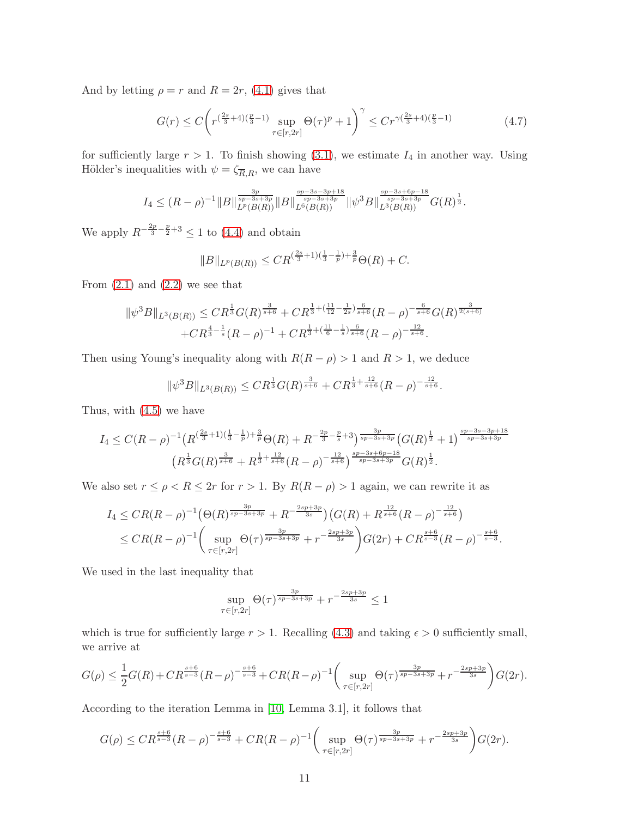And by letting  $\rho = r$  and  $R = 2r$ , [\(4.1\)](#page-7-1) gives that

<span id="page-10-0"></span>
$$
G(r) \le C \left( r^{\left(\frac{2s}{3} + 4\right)\left(\frac{p}{3} - 1\right)} \sup_{\tau \in [r, 2r]} \Theta(\tau)^p + 1 \right)^{\gamma} \le C r^{\gamma \left(\frac{2s}{3} + 4\right)\left(\frac{p}{3} - 1\right)} \tag{4.7}
$$

for sufficiently large  $r > 1$ . To finish showing [\(3.1\)](#page-3-1), we estimate  $I_4$  in another way. Using Hölder's inequalities with  $\psi=\zeta_{\overline{R},R},$  we can have

$$
I_4 \leq (R-\rho)^{-1} \|B\|_{L^p(B(R))}^{\frac{3p}{sp-3s+3p}} \|B\|_{L^6(B(R))}^{\frac{sp-3s-3p+18}{sp-3s+3p}} \|\psi^3 B\|_{L^3(B(R))}^{\frac{sp-3s+6p-18}{sp-3s+3p}} G(R)^{\frac{1}{2}}.
$$

We apply  $R^{-\frac{2p}{3} - \frac{p}{2} + 3} \leq 1$  to [\(4.4\)](#page-8-1) and obtain

$$
||B||_{L^p(B(R))} \le C R^{(\frac{2s}{3}+1)(\frac{1}{3}-\frac{1}{p})+\frac{3}{p}} \Theta(R) + C.
$$

From  $(2.1)$  and  $(2.2)$  we see that

$$
\|\psi^3 B\|_{L^3(B(R))} \leq C R^{\frac{1}{3}} G(R)^{\frac{3}{s+6}} + C R^{\frac{1}{3} + (\frac{11}{12} - \frac{1}{2s})\frac{6}{s+6}}(R-\rho)^{-\frac{6}{s+6}} G(R)^{\frac{3}{2(s+6)}}
$$

$$
+ C R^{\frac{4}{3} - \frac{1}{s}} (R-\rho)^{-1} + C R^{\frac{1}{3} + (\frac{11}{6} - \frac{1}{s})\frac{6}{s+6}}(R-\rho)^{-\frac{12}{s+6}}.
$$

Then using Young's inequality along with  $R(R - \rho) > 1$  and  $R > 1$ , we deduce

$$
\|\psi^3 B\|_{L^3(B(R))} \leq C R^{\frac{1}{3}} G(R)^{\frac{3}{s+6}} + C R^{\frac{1}{3} + \frac{12}{s+6}} (R - \rho)^{-\frac{12}{s+6}}.
$$

Thus, with [\(4.5\)](#page-8-2) we have

$$
I_4 \leq C(R-\rho)^{-1} \left( R^{\left(\frac{2s}{3}+1\right)\left(\frac{1}{3}-\frac{1}{p}\right)+\frac{3}{p}} \Theta(R) + R^{-\frac{2p}{3}-\frac{p}{s}+3} \right) \frac{3p}{sp-3s+3p} \left( G(R)^{\frac{1}{2}} + 1 \right) \frac{sp-3s-3p+18}{sp-3s+3p} \n\left( R^{\frac{1}{3}} G(R)^{\frac{3}{s+6}} + R^{\frac{1}{3}+\frac{12}{s+6}} (R-\rho)^{-\frac{12}{s+6}} \right) \frac{sp-3s+6p-18}{sp-3s+3p} G(R)^{\frac{1}{2}}.
$$

We also set  $r \leq \rho < R \leq 2r$  for  $r > 1$ . By  $R(R - \rho) > 1$  again, we can rewrite it as

$$
I_4 \leq CR(R-\rho)^{-1} \left(\Theta(R)^{\frac{3p}{sp-3s+3p}} + R^{-\frac{2sp+3p}{3s}}\right) \left(G(R) + R^{\frac{12}{s+6}}(R-\rho)^{-\frac{12}{s+6}}\right) \leq CR(R-\rho)^{-1} \left(\sup_{\tau \in [r,2r]} \Theta(\tau)^{\frac{3p}{sp-3s+3p}} + r^{-\frac{2sp+3p}{3s}}\right) G(2r) + CR^{\frac{s+6}{s-3}}(R-\rho)^{-\frac{s+6}{s-3}}.
$$

We used in the last inequality that

$$
\sup_{\tau \in [r,2r]} \Theta(\tau)^{\frac{3p}{sp-3s+3p}} + r^{-\frac{2sp+3p}{3s}} \le 1
$$

which is true for sufficiently large  $r > 1$ . Recalling [\(4.3\)](#page-8-0) and taking  $\epsilon > 0$  sufficiently small, we arrive at

$$
G(\rho) \leq \frac{1}{2}G(R) + C R^{\frac{s+6}{s-3}}(R-\rho)^{-\frac{s+6}{s-3}} + C R(R-\rho)^{-1} \left(\sup_{\tau \in [r,2r]} \Theta(\tau)^{\frac{3p}{sp-3s+3p}} + r^{-\frac{2sp+3p}{3s}}\right) G(2r).
$$

According to the iteration Lemma in [\[10,](#page-12-11) Lemma 3.1], it follows that

$$
G(\rho) \leq CR^{\frac{s+6}{s-3}}(R-\rho)^{-\frac{s+6}{s-3}} + CR(R-\rho)^{-1} \bigg(\sup_{\tau \in [r,2r]} \Theta(\tau)^{\frac{3p}{sp-3s+3p}} + r^{-\frac{2sp+3p}{3s}}\bigg)G(2r).
$$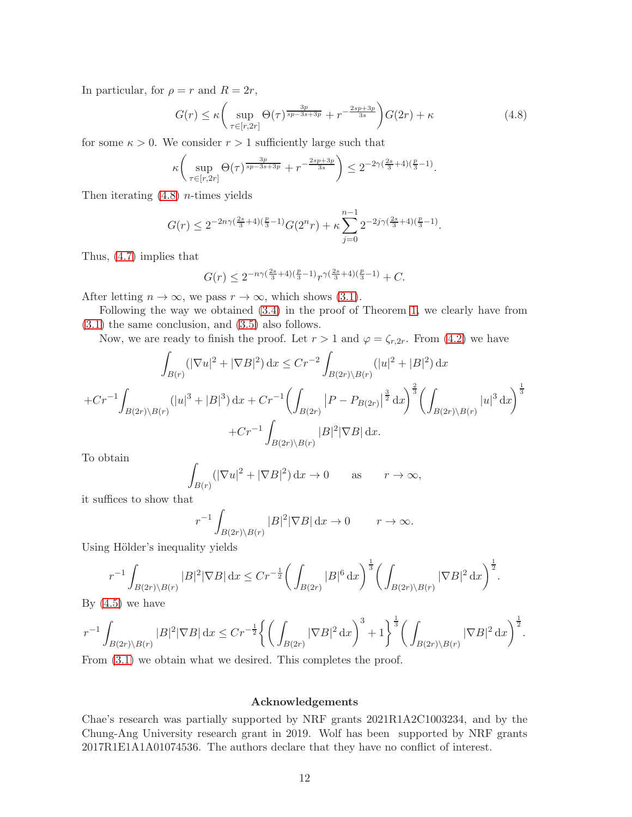In particular, for  $\rho = r$  and  $R = 2r$ ,

<span id="page-11-0"></span>
$$
G(r) \le \kappa \left( \sup_{\tau \in [r,2r]} \Theta(\tau)^{\frac{3p}{sp-3s+3p}} + r^{-\frac{2sp+3p}{3s}} \right) G(2r) + \kappa \tag{4.8}
$$

for some  $\kappa > 0$ . We consider  $r > 1$  sufficiently large such that

$$
\kappa \left( \sup_{\tau \in [r, 2r]} \Theta(\tau)^{\frac{3p}{sp-3s+3p}} + r^{-\frac{2sp+3p}{3s}} \right) \leq 2^{-2\gamma(\frac{2s}{3}+4)(\frac{p}{3}-1)}.
$$

Then iterating  $(4.8)$  *n*-times yields

$$
G(r) \le 2^{-2n\gamma(\frac{2s}{3}+4)(\frac{p}{3}-1)}G(2^nr) + \kappa \sum_{j=0}^{n-1} 2^{-2j\gamma(\frac{2s}{3}+4)(\frac{p}{3}-1)}.
$$

Thus, [\(4.7\)](#page-10-0) implies that

$$
G(r) \le 2^{-n\gamma(\frac{2s}{3}+4)(\frac{p}{3}-1)}r^{\gamma(\frac{2s}{3}+4)(\frac{p}{3}-1)} + C.
$$

After letting  $n \to \infty$ , we pass  $r \to \infty$ , which shows [\(3.1\)](#page-3-1).

Following the way we obtained [\(3.4\)](#page-5-0) in the proof of Theorem [1,](#page-1-1) we clearly have from [\(3.1\)](#page-3-1) the same conclusion, and [\(3.5\)](#page-6-0) also follows.

Now, we are ready to finish the proof. Let  $r > 1$  and  $\varphi = \zeta_{r,2r}$ . From [\(4.2\)](#page-7-0) we have

$$
\int_{B(r)} (|\nabla u|^2 + |\nabla B|^2) dx \le Cr^{-2} \int_{B(2r)\backslash B(r)} (|u|^2 + |B|^2) dx
$$
  
+ $Cr^{-1} \int_{B(2r)\backslash B(r)} (|u|^3 + |B|^3) dx + Cr^{-1} \Biggl(\int_{B(2r)} |P - P_{B(2r)}|^{\frac{3}{2}} dx\Biggr)^{\frac{2}{3}} \Biggl(\int_{B(2r)\backslash B(r)} |u|^3 dx\Biggr)^{\frac{1}{3}}$   
+ $Cr^{-1} \int_{B(2r)\backslash B(r)} |B|^2 |\nabla B| dx.$ 

To obtain

$$
\int_{B(r)} (|\nabla u|^2 + |\nabla B|^2) \, \mathrm{d}x \to 0 \qquad \text{as} \qquad r \to \infty,
$$

it suffices to show that

$$
r^{-1} \int_{B(2r)\backslash B(r)} |B|^2 |\nabla B| \, \mathrm{d}x \to 0 \qquad r \to \infty.
$$

Using Hölder's inequality yields

$$
r^{-1} \int_{B(2r)\backslash B(r)} |B|^2 |\nabla B| \, dx \le Cr^{-\frac{1}{2}} \bigg( \int_{B(2r)} |B|^6 \, dx \bigg)^{\frac{1}{3}} \bigg( \int_{B(2r)\backslash B(r)} |\nabla B|^2 \, dx \bigg)^{\frac{1}{2}}.
$$

By  $(4.5)$  we have

$$
r^{-1}\int_{B(2r)\backslash B(r)}|B|^2|\nabla B|\,\mathrm{d} x\leq Cr^{-\frac{1}{2}}\bigg\{\bigg(\int_{B(2r)}|\nabla B|^2\,\mathrm{d} x\bigg)^3+1\bigg\}^{\frac{1}{3}}\bigg(\int_{B(2r)\backslash B(r)}|\nabla B|^2\,\mathrm{d} x\bigg)^{\frac{1}{2}}.
$$

From  $(3.1)$  we obtain what we desired. This completes the proof.

#### Acknowledgements

Chae's research was partially supported by NRF grants 2021R1A2C1003234, and by the Chung-Ang University research grant in 2019. Wolf has been supported by NRF grants 2017R1E1A1A01074536. The authors declare that they have no conflict of interest.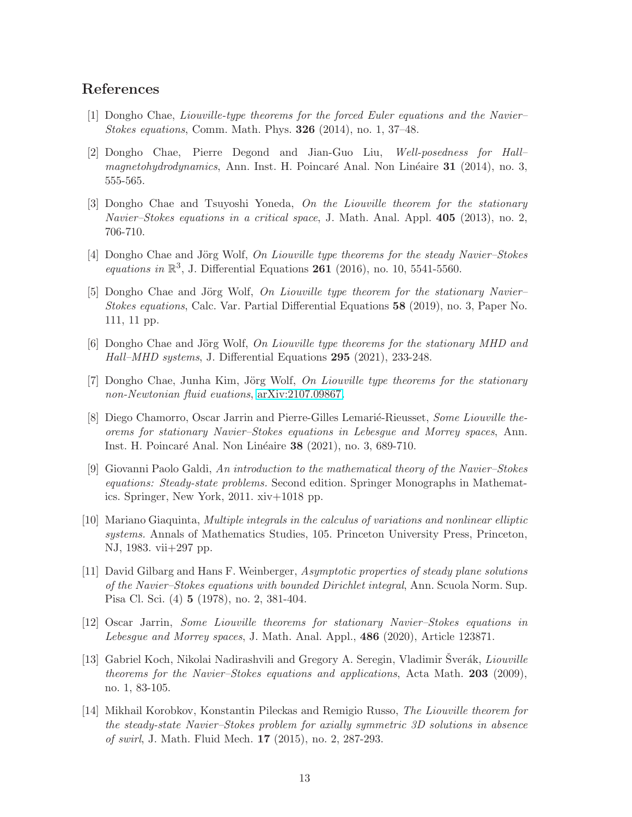### <span id="page-12-0"></span>References

- <span id="page-12-9"></span>[1] Dongho Chae, Liouville-type theorems for the forced Euler equations and the Navier– Stokes equations, Comm. Math. Phys. 326 (2014), no. 1, 37–48.
- [2] Dongho Chae, Pierre Degond and Jian-Guo Liu, Well-posedness for Hall– magnetohydrodynamics, Ann. Inst. H. Poincaré Anal. Non Linéaire 31 (2014), no. 3, 555-565.
- <span id="page-12-1"></span>[3] Dongho Chae and Tsuyoshi Yoneda, On the Liouville theorem for the stationary Navier–Stokes equations in a critical space, J. Math. Anal. Appl.  $405$  (2013), no. 2, 706-710.
- <span id="page-12-2"></span>[4] Dongho Chae and Jörg Wolf, On Liouville type theorems for the steady Navier–Stokes equations in  $\mathbb{R}^3$ , J. Differential Equations 261 (2016), no. 10, 5541-5560.
- <span id="page-12-7"></span>[5] Dongho Chae and Jörg Wolf, On Liouville type theorem for the stationary Navier– Stokes equations, Calc. Var. Partial Differential Equations 58 (2019), no. 3, Paper No. 111, 11 pp.
- <span id="page-12-8"></span>[6] Dongho Chae and Jörg Wolf, On Liouville type theorems for the stationary MHD and Hall–MHD systems, J. Differential Equations 295 (2021), 233-248.
- <span id="page-12-10"></span><span id="page-12-3"></span>[7] Dongho Chae, Junha Kim, Jörg Wolf, On Liouville type theorems for the stationary non-Newtonian fluid euations, [arXiv:2107.09867.](http://arxiv.org/abs/2107.09867)
- [8] Diego Chamorro, Oscar Jarrin and Pierre-Gilles Lemarié-Rieusset, Some Liouville theorems for stationary Navier–Stokes equations in Lebesgue and Morrey spaces, Ann. Inst. H. Poincaré Anal. Non Linéaire 38 (2021), no. 3, 689-710.
- [9] Giovanni Paolo Galdi, An introduction to the mathematical theory of the Navier–Stokes equations: Steady-state problems. Second edition. Springer Monographs in Mathematics. Springer, New York, 2011. xiv+1018 pp.
- <span id="page-12-11"></span>[10] Mariano Giaquinta, Multiple integrals in the calculus of variations and nonlinear elliptic systems. Annals of Mathematics Studies, 105. Princeton University Press, Princeton, NJ, 1983. vii+297 pp.
- <span id="page-12-4"></span>[11] David Gilbarg and Hans F. Weinberger, Asymptotic properties of steady plane solutions of the Navier–Stokes equations with bounded Dirichlet integral, Ann. Scuola Norm. Sup. Pisa Cl. Sci. (4) 5 (1978), no. 2, 381-404.
- [12] Oscar Jarrin, Some Liouville theorems for stationary Navier–Stokes equations in Lebesque and Morrey spaces, J. Math. Anal. Appl., 486 (2020), Article 123871.
- <span id="page-12-5"></span>[13] Gabriel Koch, Nikolai Nadirashvili and Gregory A. Seregin, Vladimir Šverák, *Liouville* theorems for the Navier–Stokes equations and applications, Acta Math. 203 (2009), no. 1, 83-105.
- <span id="page-12-6"></span>[14] Mikhail Korobkov, Konstantin Pileckas and Remigio Russo, The Liouville theorem for the steady-state Navier–Stokes problem for axially symmetric 3D solutions in absence of swirl, J. Math. Fluid Mech. 17 (2015), no. 2, 287-293.